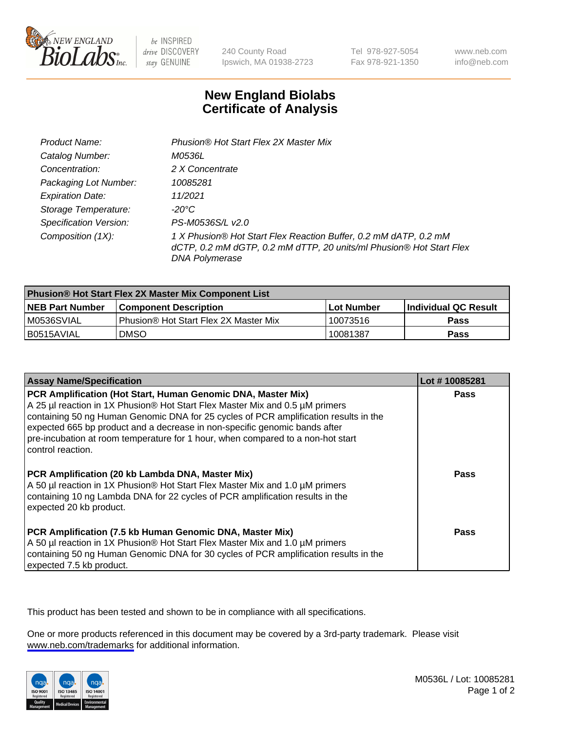

be INSPIRED drive DISCOVERY stay GENUINE

240 County Road Ipswich, MA 01938-2723 Tel 978-927-5054 Fax 978-921-1350

www.neb.com info@neb.com

## **New England Biolabs Certificate of Analysis**

| Product Name:                 | Phusion® Hot Start Flex 2X Master Mix                                                                                                                     |
|-------------------------------|-----------------------------------------------------------------------------------------------------------------------------------------------------------|
| Catalog Number:               | M0536L                                                                                                                                                    |
| Concentration:                | 2 X Concentrate                                                                                                                                           |
| Packaging Lot Number:         | 10085281                                                                                                                                                  |
| <b>Expiration Date:</b>       | 11/2021                                                                                                                                                   |
| Storage Temperature:          | -20°C                                                                                                                                                     |
| <b>Specification Version:</b> | PS-M0536S/L v2.0                                                                                                                                          |
| Composition (1X):             | 1 X Phusion® Hot Start Flex Reaction Buffer, 0.2 mM dATP, 0.2 mM<br>dCTP, 0.2 mM dGTP, 0.2 mM dTTP, 20 units/ml Phusion® Hot Start Flex<br>DNA Polymerase |

| <b>Phusion® Hot Start Flex 2X Master Mix Component List</b> |                                              |            |                             |  |
|-------------------------------------------------------------|----------------------------------------------|------------|-----------------------------|--|
| <b>NEB Part Number</b>                                      | <b>Component Description</b>                 | Lot Number | <b>Individual QC Result</b> |  |
| IM0536SVIAL                                                 | <b>Phusion® Hot Start Flex 2X Master Mix</b> | 10073516   | <b>Pass</b>                 |  |
| I B0515AVIAL                                                | DMSO                                         | 10081387   | Pass                        |  |

| <b>Assay Name/Specification</b>                                                                                                                                                                                                                                                                                                                                                                                            | Lot #10085281 |
|----------------------------------------------------------------------------------------------------------------------------------------------------------------------------------------------------------------------------------------------------------------------------------------------------------------------------------------------------------------------------------------------------------------------------|---------------|
| PCR Amplification (Hot Start, Human Genomic DNA, Master Mix)<br>A 25 µl reaction in 1X Phusion® Hot Start Flex Master Mix and 0.5 µM primers<br>containing 50 ng Human Genomic DNA for 25 cycles of PCR amplification results in the<br>expected 665 bp product and a decrease in non-specific genomic bands after<br>pre-incubation at room temperature for 1 hour, when compared to a non-hot start<br>control reaction. | <b>Pass</b>   |
| PCR Amplification (20 kb Lambda DNA, Master Mix)<br>A 50 µl reaction in 1X Phusion® Hot Start Flex Master Mix and 1.0 µM primers<br>containing 10 ng Lambda DNA for 22 cycles of PCR amplification results in the<br>expected 20 kb product.                                                                                                                                                                               | Pass          |
| PCR Amplification (7.5 kb Human Genomic DNA, Master Mix)<br>A 50 µl reaction in 1X Phusion® Hot Start Flex Master Mix and 1.0 µM primers<br>containing 50 ng Human Genomic DNA for 30 cycles of PCR amplification results in the<br>expected 7.5 kb product.                                                                                                                                                               | Pass          |

This product has been tested and shown to be in compliance with all specifications.

One or more products referenced in this document may be covered by a 3rd-party trademark. Please visit <www.neb.com/trademarks>for additional information.